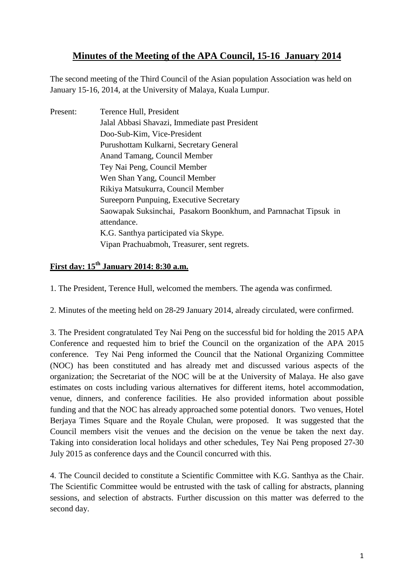## **Minutes of the Meeting of the APA Council, 15-16 January 2014**

The second meeting of the Third Council of the Asian population Association was held on January 15-16, 2014, at the University of Malaya, Kuala Lumpur.

| Present: | Terence Hull, President                                          |
|----------|------------------------------------------------------------------|
|          | Jalal Abbasi Shavazi, Immediate past President                   |
|          | Doo-Sub-Kim, Vice-President                                      |
|          | Purushottam Kulkarni, Secretary General                          |
|          | Anand Tamang, Council Member                                     |
|          | Tey Nai Peng, Council Member                                     |
|          | Wen Shan Yang, Council Member                                    |
|          | Rikiya Matsukurra, Council Member                                |
|          | Sureeporn Punpuing, Executive Secretary                          |
|          | Saowapak Suksinchai, Pasakorn Boonkhum, and Parnnachat Tipsuk in |
|          | attendance.                                                      |
|          | K.G. Santhya participated via Skype.                             |
|          | Vipan Prachuabmoh, Treasurer, sent regrets.                      |

## **First day: 15th January 2014: 8:30 a.m.**

1. The President, Terence Hull, welcomed the members. The agenda was confirmed.

2. Minutes of the meeting held on 28-29 January 2014, already circulated, were confirmed.

3. The President congratulated Tey Nai Peng on the successful bid for holding the 2015 APA Conference and requested him to brief the Council on the organization of the APA 2015 conference. Tey Nai Peng informed the Council that the National Organizing Committee (NOC) has been constituted and has already met and discussed various aspects of the organization; the Secretariat of the NOC will be at the University of Malaya. He also gave estimates on costs including various alternatives for different items, hotel accommodation, venue, dinners, and conference facilities. He also provided information about possible funding and that the NOC has already approached some potential donors. Two venues, Hotel Berjaya Times Square and the Royale Chulan, were proposed. It was suggested that the Council members visit the venues and the decision on the venue be taken the next day. Taking into consideration local holidays and other schedules, Tey Nai Peng proposed 27-30 July 2015 as conference days and the Council concurred with this.

4. The Council decided to constitute a Scientific Committee with K.G. Santhya as the Chair. The Scientific Committee would be entrusted with the task of calling for abstracts, planning sessions, and selection of abstracts. Further discussion on this matter was deferred to the second day.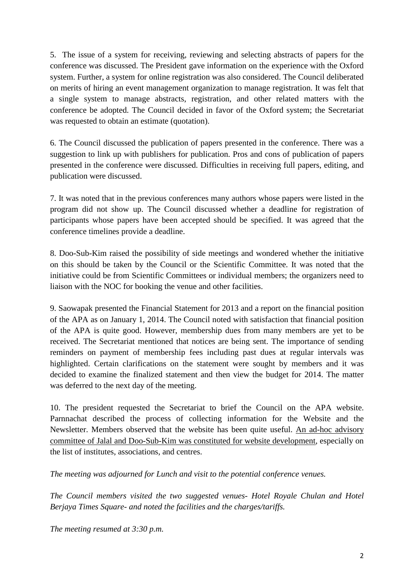5. The issue of a system for receiving, reviewing and selecting abstracts of papers for the conference was discussed. The President gave information on the experience with the Oxford system. Further, a system for online registration was also considered. The Council deliberated on merits of hiring an event management organization to manage registration. It was felt that a single system to manage abstracts, registration, and other related matters with the conference be adopted. The Council decided in favor of the Oxford system; the Secretariat was requested to obtain an estimate (quotation).

6. The Council discussed the publication of papers presented in the conference. There was a suggestion to link up with publishers for publication. Pros and cons of publication of papers presented in the conference were discussed. Difficulties in receiving full papers, editing, and publication were discussed.

7. It was noted that in the previous conferences many authors whose papers were listed in the program did not show up. The Council discussed whether a deadline for registration of participants whose papers have been accepted should be specified. It was agreed that the conference timelines provide a deadline.

8. Doo-Sub-Kim raised the possibility of side meetings and wondered whether the initiative on this should be taken by the Council or the Scientific Committee. It was noted that the initiative could be from Scientific Committees or individual members; the organizers need to liaison with the NOC for booking the venue and other facilities.

9. Saowapak presented the Financial Statement for 2013 and a report on the financial position of the APA as on January 1, 2014. The Council noted with satisfaction that financial position of the APA is quite good. However, membership dues from many members are yet to be received. The Secretariat mentioned that notices are being sent. The importance of sending reminders on payment of membership fees including past dues at regular intervals was highlighted. Certain clarifications on the statement were sought by members and it was decided to examine the finalized statement and then view the budget for 2014. The matter was deferred to the next day of the meeting.

10. The president requested the Secretariat to brief the Council on the APA website. Parnnachat described the process of collecting information for the Website and the Newsletter. Members observed that the website has been quite useful. An ad-hoc advisory committee of Jalal and Doo-Sub-Kim was constituted for website development, especially on the list of institutes, associations, and centres.

*The meeting was adjourned for Lunch and visit to the potential conference venues.*

*The Council members visited the two suggested venues- Hotel Royale Chulan and Hotel Berjaya Times Square- and noted the facilities and the charges/tariffs.*

*The meeting resumed at 3:30 p.m.*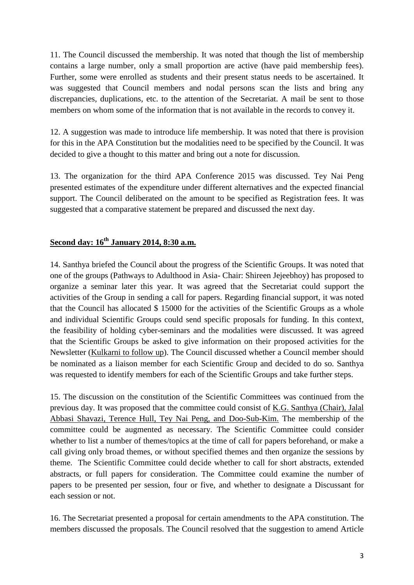11. The Council discussed the membership. It was noted that though the list of membership contains a large number, only a small proportion are active (have paid membership fees). Further, some were enrolled as students and their present status needs to be ascertained. It was suggested that Council members and nodal persons scan the lists and bring any discrepancies, duplications, etc. to the attention of the Secretariat. A mail be sent to those members on whom some of the information that is not available in the records to convey it.

12. A suggestion was made to introduce life membership. It was noted that there is provision for this in the APA Constitution but the modalities need to be specified by the Council. It was decided to give a thought to this matter and bring out a note for discussion.

13. The organization for the third APA Conference 2015 was discussed. Tey Nai Peng presented estimates of the expenditure under different alternatives and the expected financial support. The Council deliberated on the amount to be specified as Registration fees. It was suggested that a comparative statement be prepared and discussed the next day.

## **Second day: 16th January 2014, 8:30 a.m.**

14. Santhya briefed the Council about the progress of the Scientific Groups. It was noted that one of the groups (Pathways to Adulthood in Asia- Chair: Shireen Jejeebhoy) has proposed to organize a seminar later this year. It was agreed that the Secretariat could support the activities of the Group in sending a call for papers. Regarding financial support, it was noted that the Council has allocated \$ 15000 for the activities of the Scientific Groups as a whole and individual Scientific Groups could send specific proposals for funding. In this context, the feasibility of holding cyber-seminars and the modalities were discussed. It was agreed that the Scientific Groups be asked to give information on their proposed activities for the Newsletter (Kulkarni to follow up). The Council discussed whether a Council member should be nominated as a liaison member for each Scientific Group and decided to do so. Santhya was requested to identify members for each of the Scientific Groups and take further steps.

15. The discussion on the constitution of the Scientific Committees was continued from the previous day. It was proposed that the committee could consist of K.G. Santhya (Chair), Jalal Abbasi Shavazi, Terence Hull, Tey Nai Peng, and Doo-Sub-Kim. The membership of the committee could be augmented as necessary. The Scientific Committee could consider whether to list a number of themes/topics at the time of call for papers beforehand, or make a call giving only broad themes, or without specified themes and then organize the sessions by theme. The Scientific Committee could decide whether to call for short abstracts, extended abstracts, or full papers for consideration. The Committee could examine the number of papers to be presented per session, four or five, and whether to designate a Discussant for each session or not.

16. The Secretariat presented a proposal for certain amendments to the APA constitution. The members discussed the proposals. The Council resolved that the suggestion to amend Article